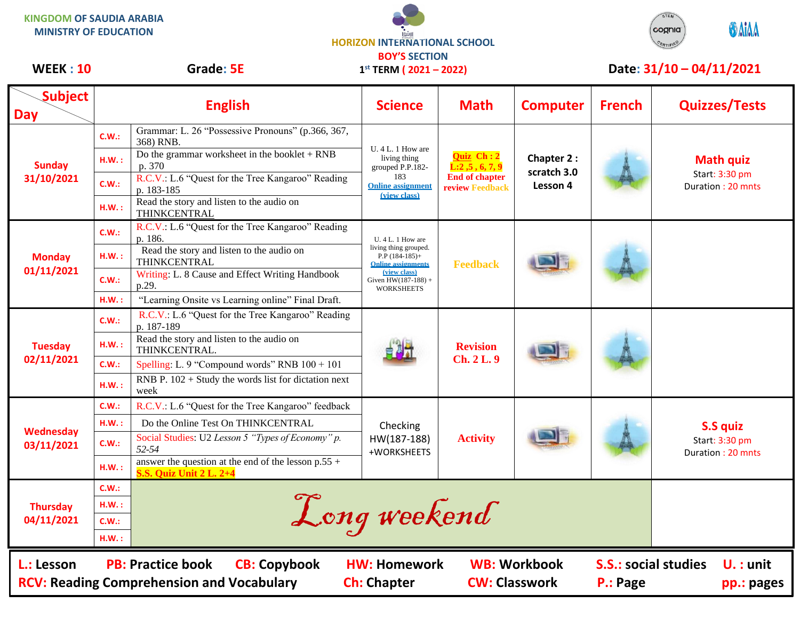**KINGDOM OF SAUDIA ARABIA MINISTRY OF EDUCATION**





## WEEK : 10 Grade: 5E 1<sup>st</sup> TERM (2021 – 2022) Date: 31/10 – 04/11/2021

| <b>Subject</b><br><b>Day</b>                                   |                                                          | <b>English</b>                                                                                                                                                                                                          | <b>Science</b>                                                                                                                                            | <b>Math</b>                                                                              | <b>Computer</b>                              | <b>French</b> | <b>Quizzes/Tests</b>                                    |
|----------------------------------------------------------------|----------------------------------------------------------|-------------------------------------------------------------------------------------------------------------------------------------------------------------------------------------------------------------------------|-----------------------------------------------------------------------------------------------------------------------------------------------------------|------------------------------------------------------------------------------------------|----------------------------------------------|---------------|---------------------------------------------------------|
| <b>Sunday</b><br>31/10/2021                                    | C.W.:<br>HM.:                                            | Grammar: L. 26 "Possessive Pronouns" (p.366, 367,<br>368) RNB.<br>Do the grammar worksheet in the booklet $+$ RNB                                                                                                       | U. 4 L. 1 How are<br>living thing<br>grouped P.P.182-<br>183<br><b>Online assignment</b><br><i>(view class)</i>                                           | <b>Quiz</b> Ch: 2<br>L: 2, 5, 6, 7, 9<br><b>End of chapter</b><br><b>review Feedback</b> | <b>Chapter 2:</b><br>scratch 3.0<br>Lesson 4 |               | <b>Math quiz</b><br>Start: 3:30 pm<br>Duration: 20 mnts |
|                                                                | C.W.:<br>H.W.:                                           | p. 370<br>R.C.V.: L.6 "Quest for the Tree Kangaroo" Reading<br>p. 183-185<br>Read the story and listen to the audio on                                                                                                  |                                                                                                                                                           |                                                                                          |                                              |               |                                                         |
| <b>Monday</b><br>01/11/2021                                    | C.W.:<br>H.W.:                                           | THINKCENTRAL<br>R.C.V.: L.6 "Quest for the Tree Kangaroo" Reading<br>p. 186.<br>Read the story and listen to the audio on<br>THINKCENTRAL                                                                               | $U.4 L.1$ How are<br>living thing grouped.<br>$P.P$ (184-185)+<br><b>Online assignments</b><br>(view class)<br>Given $HW(187-188) +$<br><b>WORKSHEETS</b> | <b>Feedback</b>                                                                          |                                              |               |                                                         |
|                                                                | C.W.:<br>HM.:                                            | Writing: L. 8 Cause and Effect Writing Handbook<br>p.29.<br>"Learning Onsite vs Learning online" Final Draft.                                                                                                           |                                                                                                                                                           |                                                                                          |                                              |               |                                                         |
| <b>Tuesday</b><br>02/11/2021                                   | C.W.:                                                    | R.C.V.: L.6 "Quest for the Tree Kangaroo" Reading<br>p. 187-189<br>Read the story and listen to the audio on                                                                                                            |                                                                                                                                                           | <b>Revision</b><br><b>Ch. 2 L. 9</b>                                                     |                                              |               |                                                         |
|                                                                | H.W.:<br>C.W.:<br>H.W.:                                  | THINKCENTRAL.<br>Spelling: L. 9 "Compound words" RNB $100 + 101$<br>RNB P. $102 +$ Study the words list for dictation next                                                                                              |                                                                                                                                                           |                                                                                          |                                              |               |                                                         |
| <b>Wednesday</b><br>03/11/2021                                 | C.W.:<br>H.W.:<br>C.W.:                                  | week<br>R.C.V.: L.6 "Quest for the Tree Kangaroo" feedback<br>Do the Online Test On THINKCENTRAL<br>Social Studies: U2 Lesson 5 "Types of Economy" p.<br>52-54<br>answer the question at the end of the lesson $p.55 +$ | Checking<br>HW(187-188)<br>+WORKSHEETS                                                                                                                    | <b>Activity</b>                                                                          |                                              |               | S.S quiz<br>Start: 3:30 pm<br>Duration: 20 mnts         |
| <b>Thursday</b><br>04/11/2021                                  | HM.:<br>C.W.:<br>H.W.:<br>C.W.:<br>H.W.:                 | <b>S.S. Quiz Unit 2 L. 2+4</b><br>Long weekend                                                                                                                                                                          |                                                                                                                                                           |                                                                                          |                                              |               |                                                         |
| L.: Lesson<br><b>RCV: Reading Comprehension and Vocabulary</b> | <b>S.S.: social studies</b><br>$U. :$ unit<br>pp.: pages |                                                                                                                                                                                                                         |                                                                                                                                                           |                                                                                          |                                              |               |                                                         |